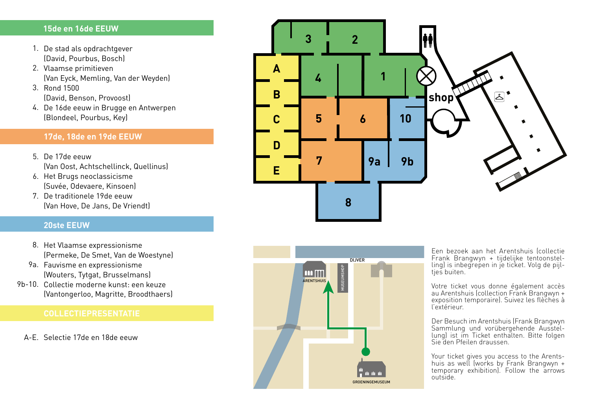### **15de en 16de EEUW**

- 1. De stad als opdrachtgever (David, Pourbus, Bosch)
- 2. Vlaamse primitieven (Van Eyck, Memling, Van der Weyden)
- 3. Rond 1500 (David, Benson, Provoost)
- De 16de eeuw in Brugge en Antwerpen 4. (Blondeel, Pourbus, Key)

# **17de, 18de en 19de EEUW**

- 5. De 17de eeuw (Van Oost, Achtschellinck, Quellinus)
- 6. Het Brugs neoclassicisme (Suvée, Odevaere, Kinsoen)
- 7. De traditionele 19de eeuw (Van Hove, De Jans, De Vriendt)

## **20ste EEUW**

- 8. Het Vlaamse expressionisme (Permeke, De Smet, Van de Woestyne)
- 9a. Fauvisme en expressionisme (Wouters, Tytgat, Brusselmans)
- 9b-10. Collectie moderne kunst: een keuze (Vantongerloo, Magritte, Broodthaers)

A-E. Selectie 17de en 18de eeuw





Een bezoek aan het Arentshuis (collectie Frank Brangwyn + tijdelijke tentoonstel ling) is inbegrepen in je ticket. Volg de pijl tjes buiten.

Votre ticket vous donne également accès au Arentshuis (collection Frank Brangwyn + exposition temporaire). Suivez les flèches à l'extérieur.

Der Besuch im Arentshuis (Frank Brangwyn Sammlung und vorübergehende Ausstel - lung) ist im Ticket enthalten. Bitte folgen Sie den Pfeilen draussen.

Your ticket gives you access to the Arentshuis as well (works by Frank Brangwyn + temporary exhibition). Follow the arrows outside.